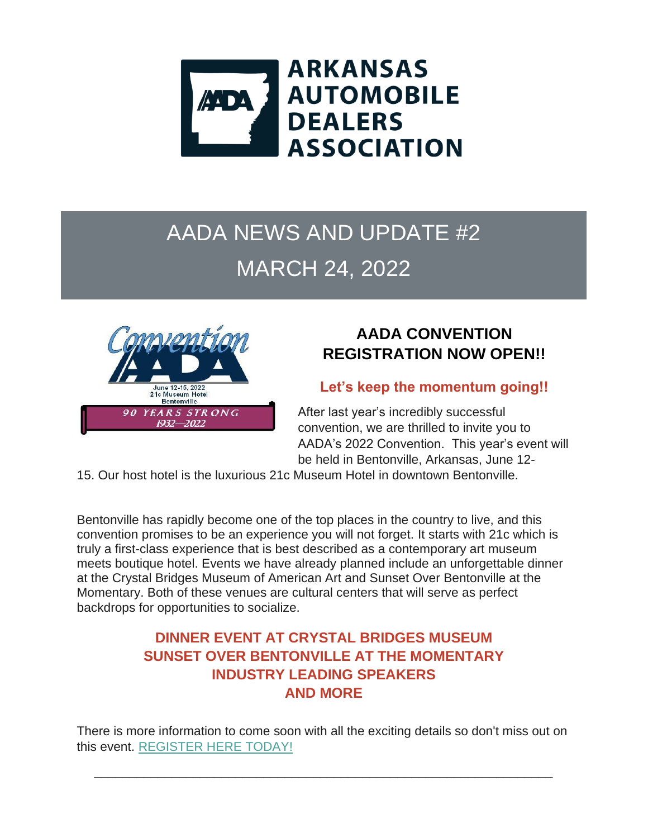

# AADA NEWS AND UPDATE #2 MARCH 24, 2022



## **AADA CONVENTION REGISTRATION NOW OPEN!!**

#### **Let's keep the momentum going!!**

After last year's incredibly successful convention, we are thrilled to invite you to AADA's 2022 Convention. This year's event will be held in Bentonville, Arkansas, June 12-

15. Our host hotel is the luxurious 21c Museum Hotel in downtown Bentonville.

Bentonville has rapidly become one of the top places in the country to live, and this convention promises to be an experience you will not forget. It starts with 21c which is truly a first-class experience that is best described as a contemporary art museum meets boutique hotel. Events we have already planned include an unforgettable dinner at the Crystal Bridges Museum of American Art and Sunset Over Bentonville at the Momentary. Both of these venues are cultural centers that will serve as perfect backdrops for opportunities to socialize.

### **DINNER EVENT AT CRYSTAL BRIDGES MUSEUM SUNSET OVER BENTONVILLE AT THE MOMENTARY INDUSTRY LEADING SPEAKERS AND MORE**

There is more information to come soon with all the exciting details so don't miss out on this event. [REGISTER HERE TODAY!](https://r20.rs6.net/tn.jsp?f=001URm91T6oHz7dCIfhRHCN8o_7KIHyqr5ZwszeK3zbpS-IFMy5TuuN47YTYHjL1ueDfBG3qNYph2tGFaoEZvYkdJ2VpD6-fVirGHsQA4cIhrN5vznGz-cnGdhJ2-ftNawttaCCjwS-M3ty4_M2zsoAAYr8KCnorzXL_C3LiYNu0B9dFyn_5ZNbrg8ZDpCIeF7YKBwRCzvCMj2YHjaPswRAqKM5telFmCpZ2trrCjVY6hc=&c=s9M9a369Wmc6TO2yKkJYjYl80nSG70gsy-dTn2FW9LnFxnQ1oBoZBA==&ch=67j_kKdFqIAvedaYG5XOUd6rJ9-WkIcoiW35nWqXm50R3UI5PIakxQ==) 

\_\_\_\_\_\_\_\_\_\_\_\_\_\_\_\_\_\_\_\_\_\_\_\_\_\_\_\_\_\_\_\_\_\_\_\_\_\_\_\_\_\_\_\_\_\_\_\_\_\_\_\_\_\_\_\_\_\_\_\_\_\_\_\_\_